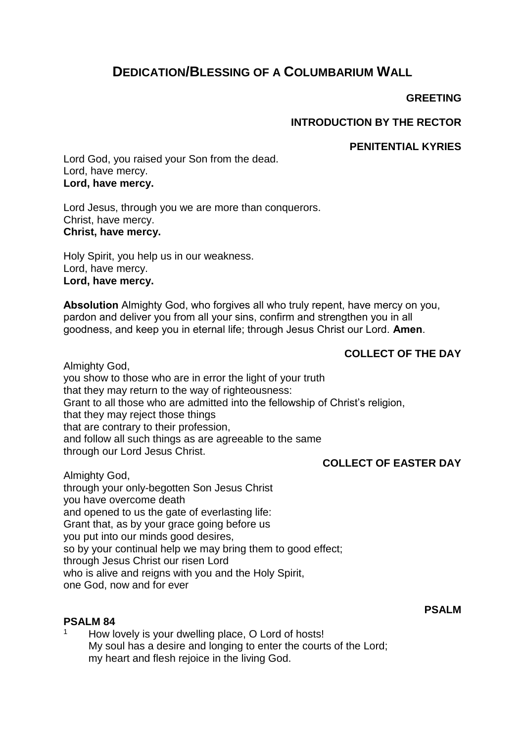# **DEDICATION/BLESSING OF A COLUMBARIUM WALL**

### **GREETING**

# **INTRODUCTION BY THE RECTOR**

### **PENITENTIAL KYRIES**

Lord God, you raised your Son from the dead. Lord, have mercy. **Lord, have mercy.**

Lord Jesus, through you we are more than conquerors. Christ, have mercy. **Christ, have mercy.**

Holy Spirit, you help us in our weakness. Lord, have mercy. **Lord, have mercy.**

**Absolution** Almighty God, who forgives all who truly repent, have mercy on you, pardon and deliver you from all your sins, confirm and strengthen you in all goodness, and keep you in eternal life; through Jesus Christ our Lord. **Amen**.

# **COLLECT OF THE DAY**

Almighty God, you show to those who are in error the light of your truth that they may return to the way of righteousness: Grant to all those who are admitted into the fellowship of Christ's religion, that they may reject those things that are contrary to their profession, and follow all such things as are agreeable to the same through our Lord Jesus Christ.

# **COLLECT OF EASTER DAY**

Almighty God,

through your only-begotten Son Jesus Christ you have overcome death and opened to us the gate of everlasting life: Grant that, as by your grace going before us you put into our minds good desires, so by your continual help we may bring them to good effect; through Jesus Christ our risen Lord who is alive and reigns with you and the Holy Spirit, one God, now and for ever

### **PSALM 84**

How lovely is your dwelling place, O Lord of hosts! My soul has a desire and longing to enter the courts of the Lord; my heart and flesh rejoice in the living God.

**PSALM**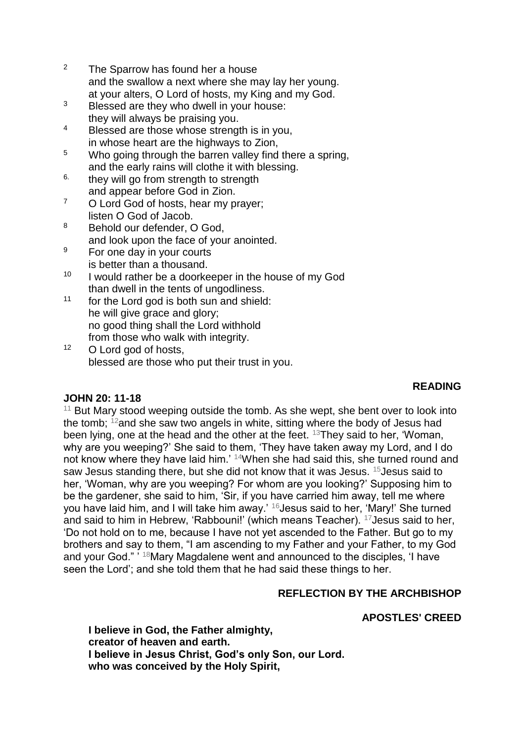- <sup>2</sup> The Sparrow has found her a house and the swallow a next where she may lay her young. at your alters, O Lord of hosts, my King and my God.
- <sup>3</sup> Blessed are they who dwell in your house: they will always be praising you.
- <sup>4</sup> Blessed are those whose strength is in you, in whose heart are the highways to Zion,
- <sup>5</sup> Who going through the barren valley find there a spring, and the early rains will clothe it with blessing.
- $6.$  they will go from strength to strength and appear before God in Zion.
- <sup>7</sup> O Lord God of hosts, hear my prayer; listen O God of Jacob.
- 8 Behold our defender, O God. and look upon the face of your anointed.
- <sup>9</sup> For one day in your courts is better than a thousand.
- $10$  I would rather be a doorkeeper in the house of my God than dwell in the tents of ungodliness.
- $11$  for the Lord god is both sun and shield: he will give grace and glory; no good thing shall the Lord withhold from those who walk with integrity.
- <sup>12</sup> O Lord god of hosts, blessed are those who put their trust in you.

# **READING**

# **JOHN 20: 11-18**

 $11$  But Mary stood weeping outside the tomb. As she wept, she bent over to look into the tomb;  $12$  and she saw two angels in white, sitting where the body of Jesus had been lying, one at the head and the other at the feet. <sup>13</sup>They said to her, 'Woman, why are you weeping?' She said to them, 'They have taken away my Lord, and I do not know where they have laid him.' <sup>14</sup>When she had said this, she turned round and saw Jesus standing there, but she did not know that it was Jesus. <sup>15</sup>Jesus said to her, 'Woman, why are you weeping? For whom are you looking?' Supposing him to be the gardener, she said to him, 'Sir, if you have carried him away, tell me where you have laid him, and I will take him away.' <sup>16</sup>Jesus said to her, 'Mary!' She turned and said to him in Hebrew, 'Rabbouni!' (which means Teacher). <sup>17</sup>Jesus said to her, 'Do not hold on to me, because I have not yet ascended to the Father. But go to my brothers and say to them, "I am ascending to my Father and your Father, to my God and your God." ' <sup>18</sup>Mary Magdalene went and announced to the disciples, 'I have seen the Lord'; and she told them that he had said these things to her.

# **REFLECTION BY THE ARCHBISHOP**

# **APOSTLES' CREED**

**I believe in God, the Father almighty, creator of heaven and earth. I believe in Jesus Christ, God's only Son, our Lord. who was conceived by the Holy Spirit,**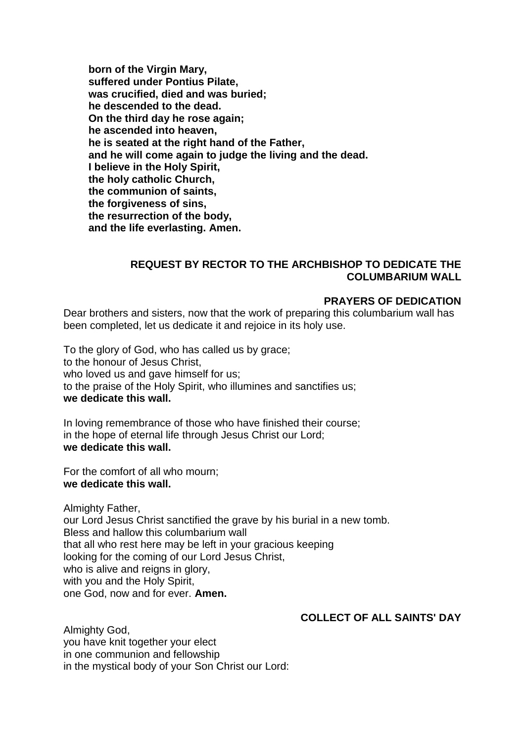**born of the Virgin Mary, suffered under Pontius Pilate, was crucified, died and was buried; he descended to the dead. On the third day he rose again; he ascended into heaven, he is seated at the right hand of the Father, and he will come again to judge the living and the dead. I believe in the Holy Spirit, the holy catholic Church, the communion of saints, the forgiveness of sins, the resurrection of the body, and the life everlasting. Amen.**

### **REQUEST BY RECTOR TO THE ARCHBISHOP TO DEDICATE THE COLUMBARIUM WALL**

#### **PRAYERS OF DEDICATION**

Dear brothers and sisters, now that the work of preparing this columbarium wall has been completed, let us dedicate it and rejoice in its holy use.

To the glory of God, who has called us by grace; to the honour of Jesus Christ, who loved us and gave himself for us; to the praise of the Holy Spirit, who illumines and sanctifies us; **we dedicate this wall.**

In loving remembrance of those who have finished their course; in the hope of eternal life through Jesus Christ our Lord; **we dedicate this wall.**

For the comfort of all who mourn; **we dedicate this wall.**

Almighty Father, our Lord Jesus Christ sanctified the grave by his burial in a new tomb. Bless and hallow this columbarium wall that all who rest here may be left in your gracious keeping looking for the coming of our Lord Jesus Christ, who is alive and reigns in glory, with you and the Holy Spirit, one God, now and for ever. **Amen.**

#### **COLLECT OF ALL SAINTS' DAY**

Almighty God, you have knit together your elect in one communion and fellowship in the mystical body of your Son Christ our Lord: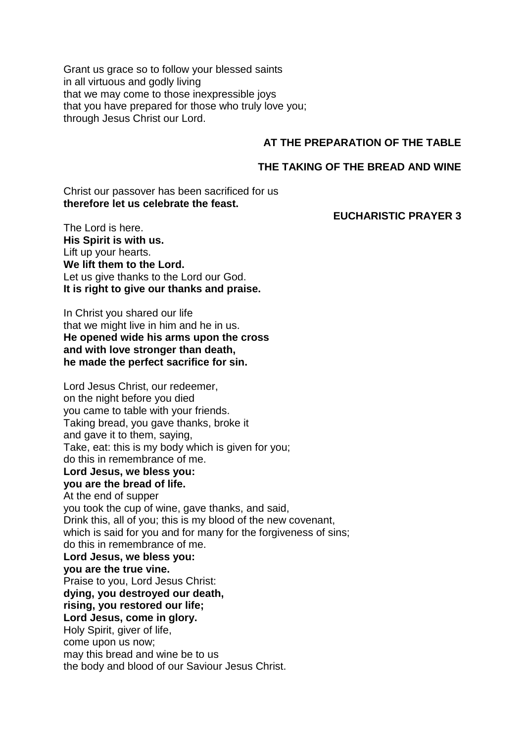Grant us grace so to follow your blessed saints in all virtuous and godly living that we may come to those inexpressible joys that you have prepared for those who truly love you; through Jesus Christ our Lord.

### **AT THE PREPARATION OF THE TABLE**

#### **THE TAKING OF THE BREAD AND WINE**

Christ our passover has been sacrificed for us **therefore let us celebrate the feast.**

#### **EUCHARISTIC PRAYER 3**

The Lord is here. **His Spirit is with us.** Lift up your hearts. **We lift them to the Lord.** Let us give thanks to the Lord our God. **It is right to give our thanks and praise.**

In Christ you shared our life that we might live in him and he in us. **He opened wide his arms upon the cross and with love stronger than death, he made the perfect sacrifice for sin.**

Lord Jesus Christ, our redeemer, on the night before you died you came to table with your friends. Taking bread, you gave thanks, broke it and gave it to them, saying, Take, eat: this is my body which is given for you; do this in remembrance of me. **Lord Jesus, we bless you: you are the bread of life.** At the end of supper you took the cup of wine, gave thanks, and said, Drink this, all of you; this is my blood of the new covenant, which is said for you and for many for the forgiveness of sins: do this in remembrance of me. **Lord Jesus, we bless you: you are the true vine.** Praise to you, Lord Jesus Christ: **dying, you destroyed our death, rising, you restored our life; Lord Jesus, come in glory.** Holy Spirit, giver of life, come upon us now; may this bread and wine be to us the body and blood of our Saviour Jesus Christ.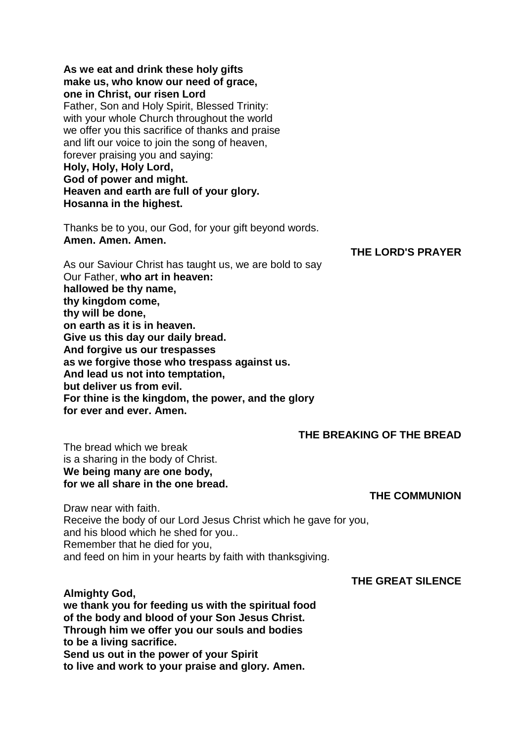**As we eat and drink these holy gifts make us, who know our need of grace, one in Christ, our risen Lord** Father, Son and Holy Spirit, Blessed Trinity: with your whole Church throughout the world we offer you this sacrifice of thanks and praise and lift our voice to join the song of heaven, forever praising you and saying: **Holy, Holy, Holy Lord, God of power and might. Heaven and earth are full of your glory. Hosanna in the highest.**

Thanks be to you, our God, for your gift beyond words. **Amen. Amen. Amen.**

### **THE LORD'S PRAYER**

As our Saviour Christ has taught us, we are bold to say Our Father, **who art in heaven: hallowed be thy name, thy kingdom come, thy will be done, on earth as it is in heaven. Give us this day our daily bread. And forgive us our trespasses as we forgive those who trespass against us. And lead us not into temptation, but deliver us from evil. For thine is the kingdom, the power, and the glory for ever and ever. Amen.**

### **THE BREAKING OF THE BREAD**

The bread which we break is a sharing in the body of Christ. **We being many are one body, for we all share in the one bread.**

**THE COMMUNION**

Draw near with faith. Receive the body of our Lord Jesus Christ which he gave for you, and his blood which he shed for you.. Remember that he died for you, and feed on him in your hearts by faith with thanksgiving.

#### **THE GREAT SILENCE**

**Almighty God, we thank you for feeding us with the spiritual food of the body and blood of your Son Jesus Christ. Through him we offer you our souls and bodies to be a living sacrifice. Send us out in the power of your Spirit to live and work to your praise and glory. Amen.**